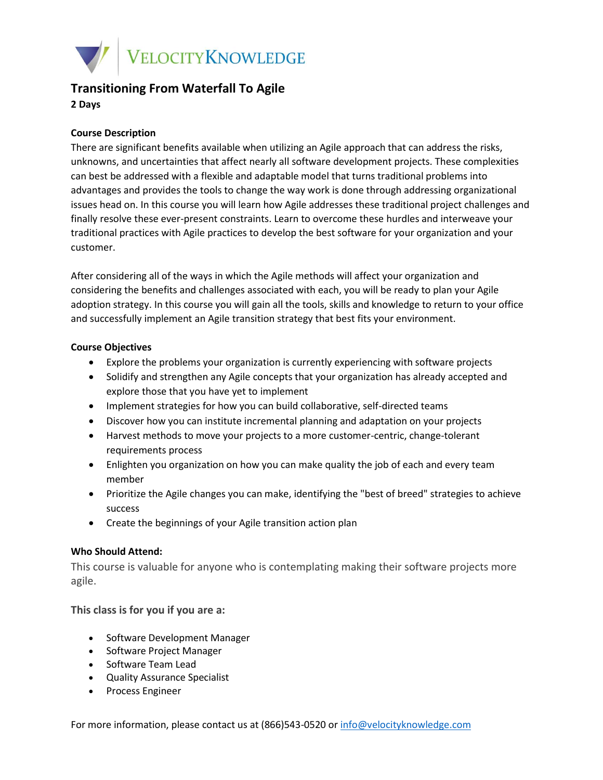

# **Transitioning From Waterfall To Agile**

**2 Days**

## **Course Description**

There are significant benefits available when utilizing an Agile approach that can address the risks, unknowns, and uncertainties that affect nearly all software development projects. These complexities can best be addressed with a flexible and adaptable model that turns traditional problems into advantages and provides the tools to change the way work is done through addressing organizational issues head on. In this course you will learn how Agile addresses these traditional project challenges and finally resolve these ever-present constraints. Learn to overcome these hurdles and interweave your traditional practices with Agile practices to develop the best software for your organization and your customer.

After considering all of the ways in which the Agile methods will affect your organization and considering the benefits and challenges associated with each, you will be ready to plan your Agile adoption strategy. In this course you will gain all the tools, skills and knowledge to return to your office and successfully implement an Agile transition strategy that best fits your environment.

## **Course Objectives**

- Explore the problems your organization is currently experiencing with software projects
- Solidify and strengthen any Agile concepts that your organization has already accepted and explore those that you have yet to implement
- Implement strategies for how you can build collaborative, self-directed teams
- Discover how you can institute incremental planning and adaptation on your projects
- Harvest methods to move your projects to a more customer-centric, change-tolerant requirements process
- Enlighten you organization on how you can make quality the job of each and every team member
- Prioritize the Agile changes you can make, identifying the "best of breed" strategies to achieve success
- Create the beginnings of your Agile transition action plan

### **Who Should Attend:**

This course is valuable for anyone who is contemplating making their software projects more agile.

### **This class is for you if you are a:**

- Software Development Manager
- Software Project Manager
- Software Team Lead
- Quality Assurance Specialist
- Process Engineer

For more information, please contact us at (866)543-0520 o[r info@velocityknowledge.com](mailto:info@velocityknowledge.com)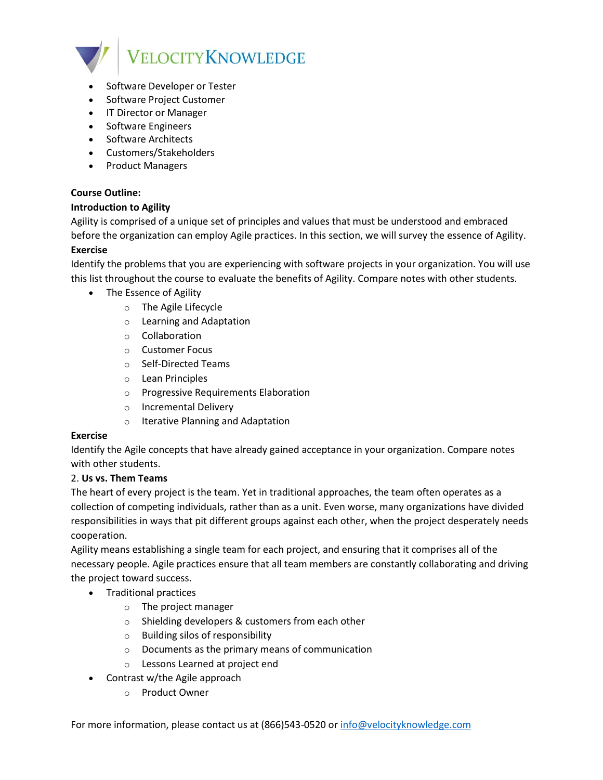

- Software Developer or Tester
- Software Project Customer
- IT Director or Manager
- Software Engineers
- Software Architects
- Customers/Stakeholders
- Product Managers

## **Course Outline:**

### **Introduction to Agility**

Agility is comprised of a unique set of principles and values that must be understood and embraced before the organization can employ Agile practices. In this section, we will survey the essence of Agility. **Exercise**

Identify the problems that you are experiencing with software projects in your organization. You will use this list throughout the course to evaluate the benefits of Agility. Compare notes with other students.

- The Essence of Agility
	- o The Agile Lifecycle
	- o Learning and Adaptation
	- o Collaboration
	- o Customer Focus
	- o Self-Directed Teams
	- o Lean Principles
	- o Progressive Requirements Elaboration
	- o Incremental Delivery
	- o Iterative Planning and Adaptation

### **Exercise**

Identify the Agile concepts that have already gained acceptance in your organization. Compare notes with other students.

### 2. **Us vs. Them Teams**

The heart of every project is the team. Yet in traditional approaches, the team often operates as a collection of competing individuals, rather than as a unit. Even worse, many organizations have divided responsibilities in ways that pit different groups against each other, when the project desperately needs cooperation.

Agility means establishing a single team for each project, and ensuring that it comprises all of the necessary people. Agile practices ensure that all team members are constantly collaborating and driving the project toward success.

- Traditional practices
	- o The project manager
	- o Shielding developers & customers from each other
	- o Building silos of responsibility
	- o Documents as the primary means of communication
	- o Lessons Learned at project end
- Contrast w/the Agile approach
	- o Product Owner

For more information, please contact us at (866)543-0520 o[r info@velocityknowledge.com](mailto:info@velocityknowledge.com)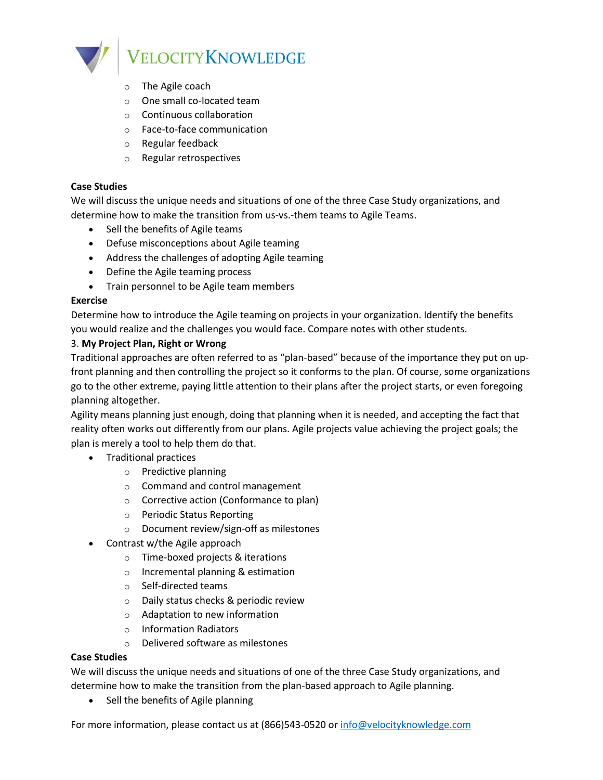

- o The Agile coach
- o One small co-located team
- o Continuous collaboration
- o Face-to-face communication
- o Regular feedback
- o Regular retrospectives

#### **Case Studies**

We will discuss the unique needs and situations of one of the three Case Study organizations, and determine how to make the transition from us-vs.-them teams to Agile Teams.

- Sell the benefits of Agile teams
- Defuse misconceptions about Agile teaming
- Address the challenges of adopting Agile teaming
- Define the Agile teaming process
- Train personnel to be Agile team members

#### **Exercise**

Determine how to introduce the Agile teaming on projects in your organization. Identify the benefits you would realize and the challenges you would face. Compare notes with other students.

### 3. **My Project Plan, Right or Wrong**

Traditional approaches are often referred to as "plan-based" because of the importance they put on upfront planning and then controlling the project so it conforms to the plan. Of course, some organizations go to the other extreme, paying little attention to their plans after the project starts, or even foregoing planning altogether.

Agility means planning just enough, doing that planning when it is needed, and accepting the fact that reality often works out differently from our plans. Agile projects value achieving the project goals; the plan is merely a tool to help them do that.

- Traditional practices
	- o Predictive planning
	- o Command and control management
	- o Corrective action (Conformance to plan)
	- o Periodic Status Reporting
	- o Document review/sign-off as milestones
- Contrast w/the Agile approach
	- o Time-boxed projects & iterations
	- o Incremental planning & estimation
	- o Self-directed teams
	- o Daily status checks & periodic review
	- o Adaptation to new information
	- o Information Radiators
	- o Delivered software as milestones

### **Case Studies**

We will discuss the unique needs and situations of one of the three Case Study organizations, and determine how to make the transition from the plan-based approach to Agile planning.

• Sell the benefits of Agile planning

For more information, please contact us at (866)543-0520 o[r info@velocityknowledge.com](mailto:info@velocityknowledge.com)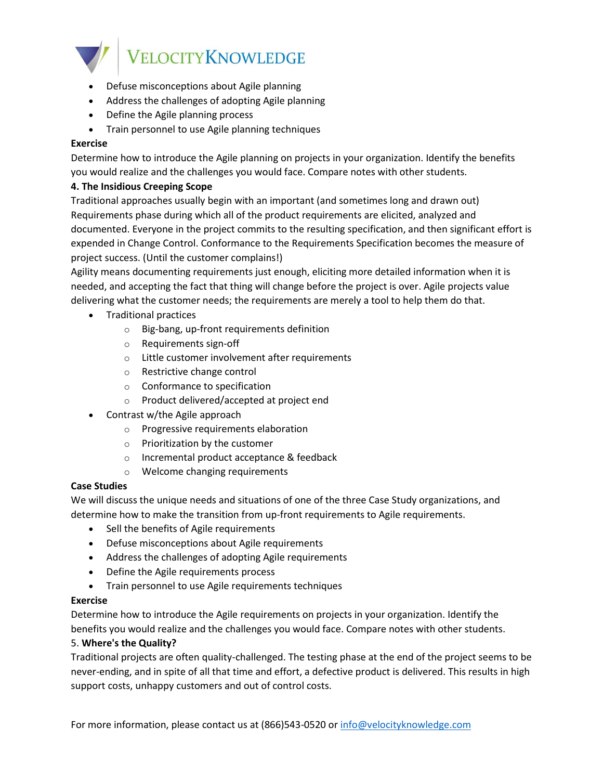

- Defuse misconceptions about Agile planning
- Address the challenges of adopting Agile planning
- Define the Agile planning process
- Train personnel to use Agile planning techniques

## **Exercise**

Determine how to introduce the Agile planning on projects in your organization. Identify the benefits you would realize and the challenges you would face. Compare notes with other students.

## **4. The Insidious Creeping Scope**

Traditional approaches usually begin with an important (and sometimes long and drawn out) Requirements phase during which all of the product requirements are elicited, analyzed and documented. Everyone in the project commits to the resulting specification, and then significant effort is expended in Change Control. Conformance to the Requirements Specification becomes the measure of project success. (Until the customer complains!)

Agility means documenting requirements just enough, eliciting more detailed information when it is needed, and accepting the fact that thing will change before the project is over. Agile projects value delivering what the customer needs; the requirements are merely a tool to help them do that.

- Traditional practices
	- o Big-bang, up-front requirements definition
	- o Requirements sign-off
	- o Little customer involvement after requirements
	- o Restrictive change control
	- o Conformance to specification
	- o Product delivered/accepted at project end
- Contrast w/the Agile approach
	- o Progressive requirements elaboration
	- o Prioritization by the customer
	- o Incremental product acceptance & feedback
	- o Welcome changing requirements

## **Case Studies**

We will discuss the unique needs and situations of one of the three Case Study organizations, and determine how to make the transition from up-front requirements to Agile requirements.

- Sell the benefits of Agile requirements
- Defuse misconceptions about Agile requirements
- Address the challenges of adopting Agile requirements
- Define the Agile requirements process
- Train personnel to use Agile requirements techniques

### **Exercise**

Determine how to introduce the Agile requirements on projects in your organization. Identify the benefits you would realize and the challenges you would face. Compare notes with other students.

### 5. **Where's the Quality?**

Traditional projects are often quality-challenged. The testing phase at the end of the project seems to be never-ending, and in spite of all that time and effort, a defective product is delivered. This results in high support costs, unhappy customers and out of control costs.